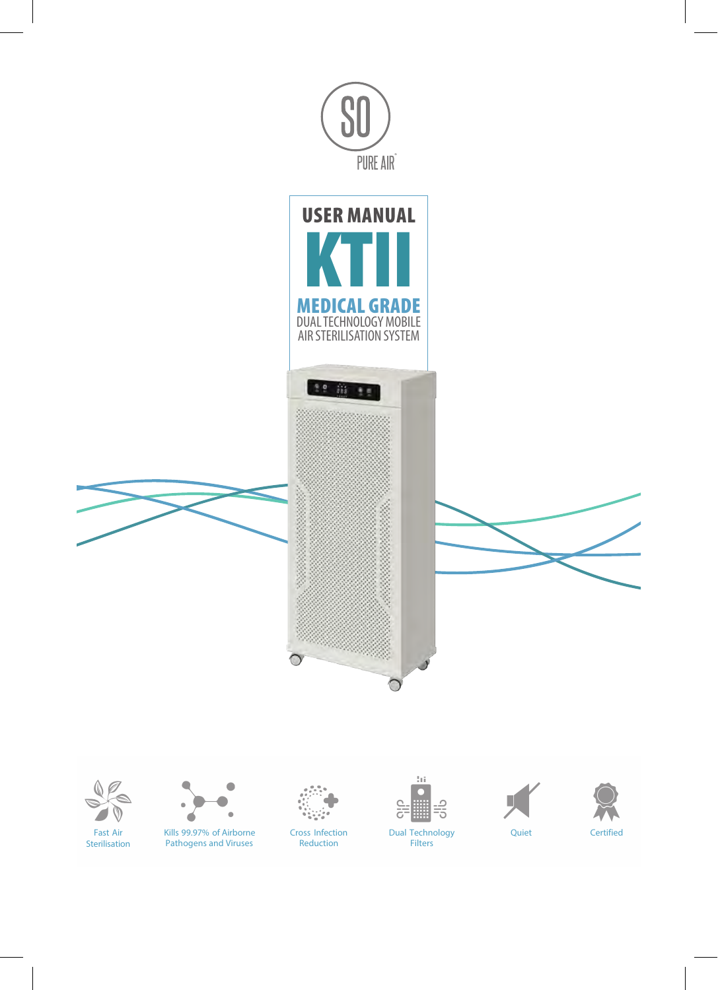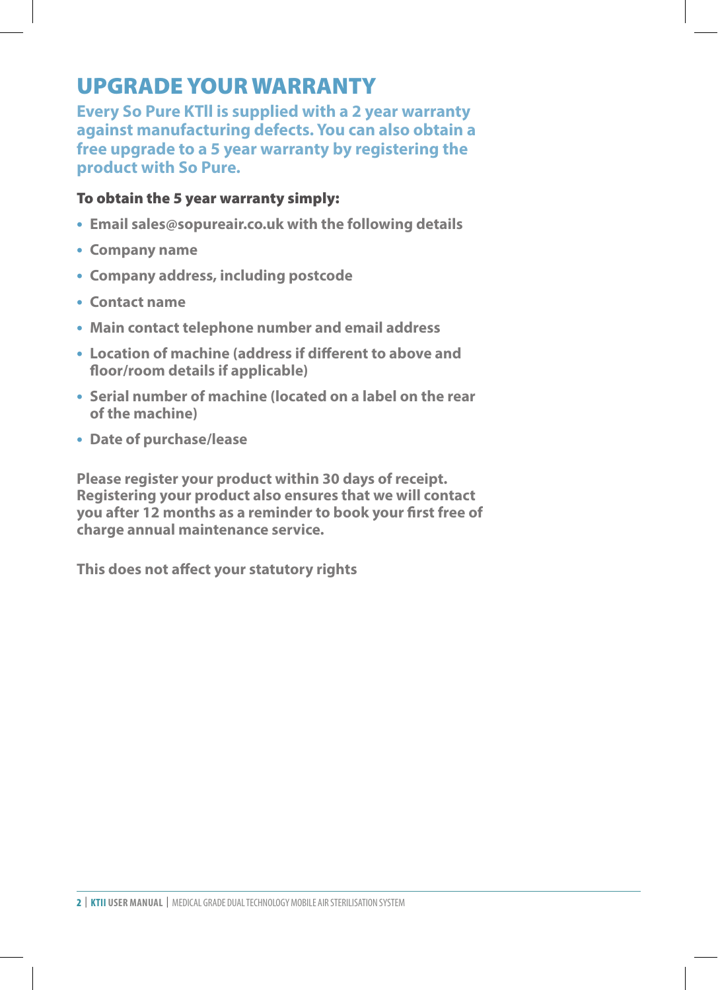# UPGRADE YOUR WARRANTY

**Every So Pure KTll is supplied with a 2 year warranty against manufacturing defects. You can also obtain a free upgrade to a 5 year warranty by registering the product with So Pure.** 

#### To obtain the 5 year warranty simply:

- **• Email sales@sopureair.co.uk with the following details**
- **• Company name**
- **• Company address, including postcode**
- **• Contact name**
- **• Main contact telephone number and email address**
- **• Location of machine (address if different to above and floor/room details if applicable)**
- **• Serial number of machine (located on a label on the rear of the machine)**
- **• Date of purchase/lease**

**Please register your product within 30 days of receipt. Registering your product also ensures that we will contact you after 12 months as a reminder to book your first free of charge annual maintenance service.**

**This does not affect your statutory rights**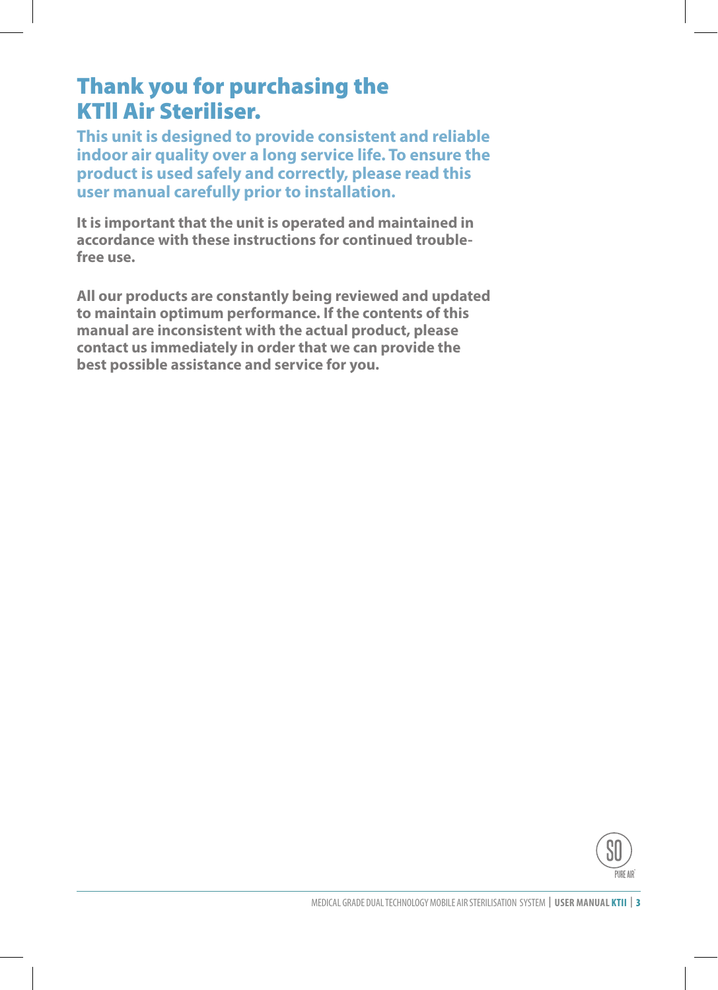## Thank you for purchasing the KTll Air Steriliser.

**This unit is designed to provide consistent and reliable indoor air quality over a long service life. To ensure the product is used safely and correctly, please read this user manual carefully prior to installation.**

**It is important that the unit is operated and maintained in accordance with these instructions for continued troublefree use.**

**All our products are constantly being reviewed and updated to maintain optimum performance. If the contents of this manual are inconsistent with the actual product, please contact us immediately in order that we can provide the best possible assistance and service for you.**

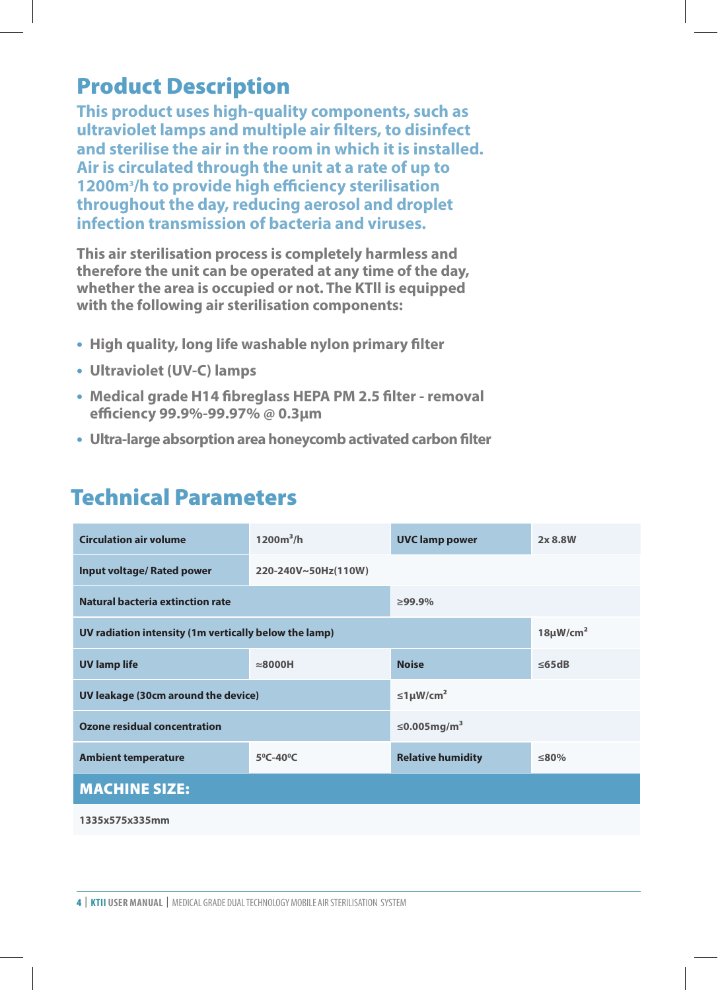## Product Description

**This product uses high-quality components, such as ultraviolet lamps and multiple air filters, to disinfect and sterilise the air in the room in which it is installed. Air is circulated through the unit at a rate of up to 1200m³/h to provide high efficiency sterilisation throughout the day, reducing aerosol and droplet infection transmission of bacteria and viruses.**

**This air sterilisation process is completely harmless and therefore the unit can be operated at any time of the day, whether the area is occupied or not. The KTll is equipped with the following air sterilisation components:** 

- **• High quality, long life washable nylon primary filter**
- **• Ultraviolet (UV-C) lamps**
- **• Medical grade H14 fibreglass HEPA PM 2.5 filter removal efficiency 99.9%-99.97% @ 0.3μm**
- **• Ultra-large absorption area honeycomb activated carbon filter**

## Technical Parameters

| <b>Circulation air volume</b>                         | $1200m^3/h$                   | <b>UVC</b> lamp power         | 2x 8.8W     |
|-------------------------------------------------------|-------------------------------|-------------------------------|-------------|
| <b>Input voltage/ Rated power</b>                     | 220-240V~50Hz(110W)           |                               |             |
| Natural bacteria extinction rate                      |                               | $\geq$ 99.9%                  |             |
| UV radiation intensity (1m vertically below the lamp) | $18 \mu W/cm^2$               |                               |             |
| <b>UV lamp life</b>                                   | $\approx$ 8000H               | <b>Noise</b>                  | $\leq$ 65dB |
| UV leakage (30cm around the device)                   |                               | $\leq 1 \mu W/cm^2$           |             |
| Ozone residual concentration                          |                               | $\leq$ 0.005mg/m <sup>3</sup> |             |
| <b>Ambient temperature</b>                            | $5^{\circ}$ C-40 $^{\circ}$ C | <b>Relative humidity</b>      | ≤80%        |
| <b>MACHINE SIZE:</b>                                  |                               |                               |             |
| 1335x575x335mm                                        |                               |                               |             |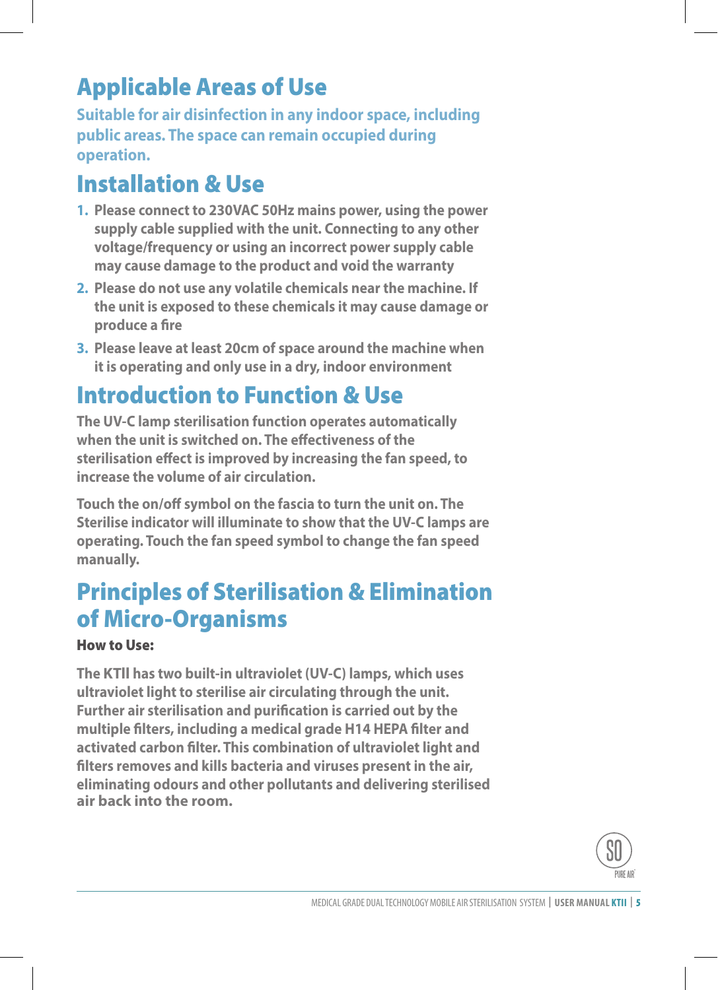# Applicable Areas of Use

**Suitable for air disinfection in any indoor space, including public areas. The space can remain occupied during operation.**

# Installation & Use

- **1. Please connect to 230VAC 50Hz mains power, using the power supply cable supplied with the unit. Connecting to any other voltage/frequency or using an incorrect power supply cable may cause damage to the product and void the warranty**
- **2. Please do not use any volatile chemicals near the machine. If the unit is exposed to these chemicals it may cause damage or produce a fire**
- **3. Please leave at least 20cm of space around the machine when it is operating and only use in a dry, indoor environment**

# Introduction to Function & Use

**The UV-C lamp sterilisation function operates automatically when the unit is switched on. The effectiveness of the sterilisation effect is improved by increasing the fan speed, to increase the volume of air circulation.**

**Touch the on/off symbol on the fascia to turn the unit on. The Sterilise indicator will illuminate to show that the UV-C lamps are operating. Touch the fan speed symbol to change the fan speed manually.**

# Principles of Sterilisation & Elimination of Micro-Organisms

#### How to Use:

**The KTll has two built-in ultraviolet (UV-C) lamps, which uses ultraviolet light to sterilise air circulating through the unit. Further air sterilisation and purification is carried out by the multiple filters, including a medical grade H14 HEPA filter and activated carbon filter. This combination of ultraviolet light and filters removes and kills bacteria and viruses present in the air, eliminating odours and other pollutants and delivering sterilised air back into the room.** 

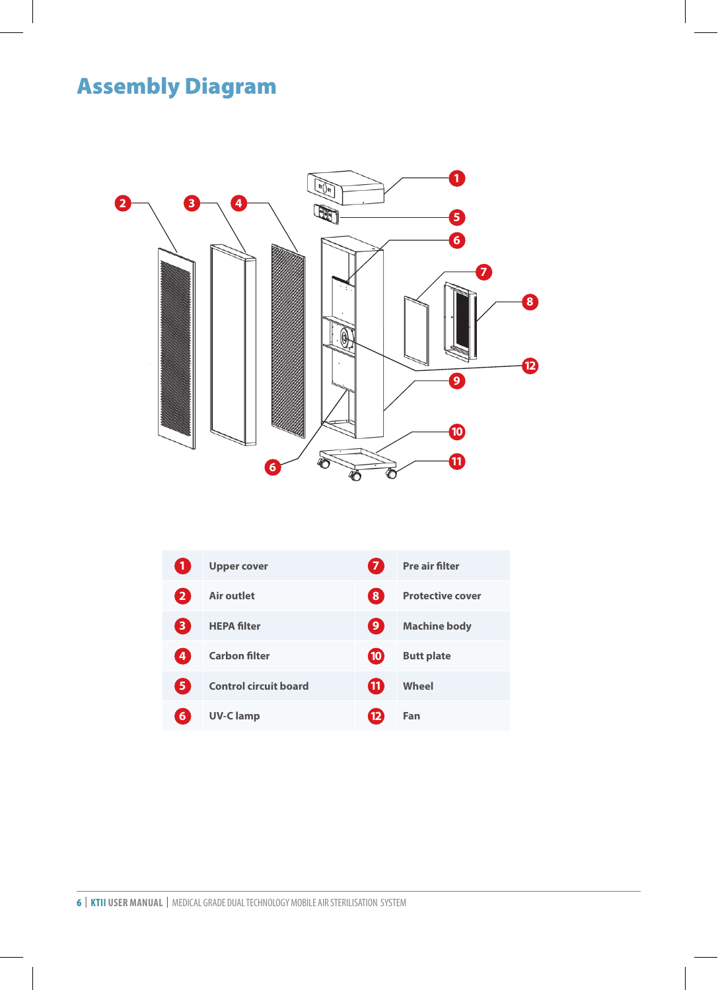# **Assembly Diagram P art F unconstructed**  $\mathbf{P}$



| $\mathbf{1}$   | <b>Upper cover</b>           | $\overline{7}$   | Pre air filter          |
|----------------|------------------------------|------------------|-------------------------|
| $\overline{2}$ | Air outlet                   | 8                | <b>Protective cover</b> |
| 3              | <b>HEPA filter</b>           | 9                | <b>Machine body</b>     |
| 4              | <b>Carbon filter</b>         | 10 <sup>10</sup> | <b>Butt plate</b>       |
| 5              | <b>Control circuit board</b> | (11              | Wheel                   |
| 6              | <b>UV-Clamp</b>              |                  | Fan                     |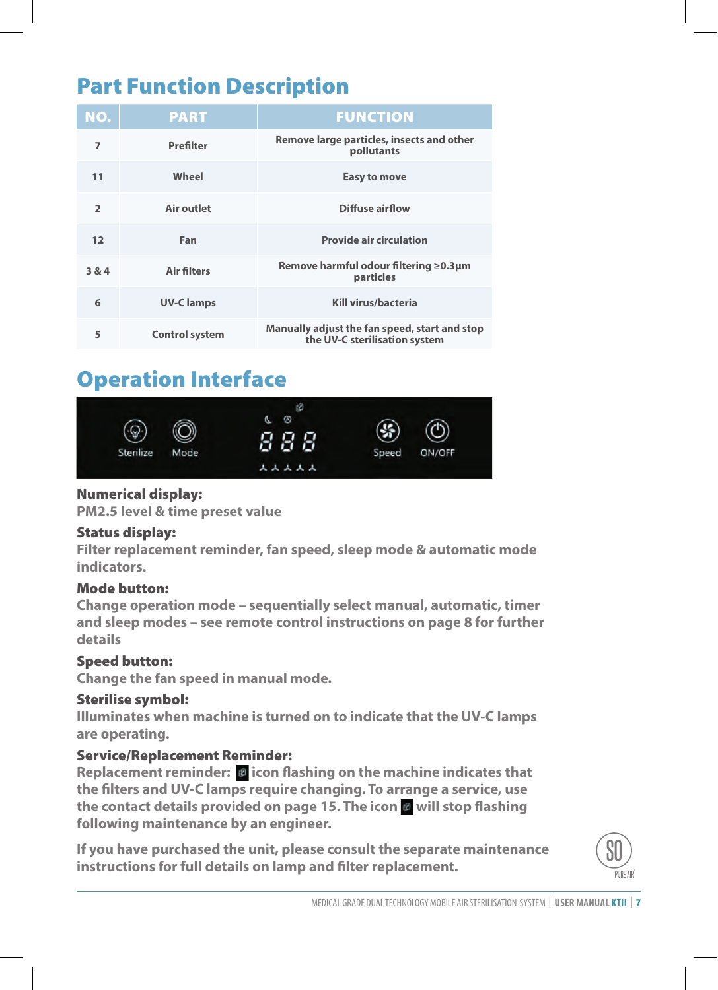# Part Function Description

| <b>FUNCTION</b>                                                                | <b>PART</b>      | NO.            |
|--------------------------------------------------------------------------------|------------------|----------------|
| Remove large particles, insects and other<br>pollutants                        | Prefilter        | 7              |
| Easy to move                                                                   | Wheel            | 11             |
| <b>Diffuse airflow</b>                                                         | Air outlet       | $\overline{2}$ |
| <b>Provide air circulation</b>                                                 | Fan              | 12             |
| Remove harmful odour filtering ≥0.3µm<br>particles                             | Air filters      | 3 & 4          |
| Kill virus/bacteria                                                            | <b>UV-Clamps</b> | 6              |
| Manually adjust the fan speed, start and stop<br>the UV-C sterilisation system | Control system   | 5              |

#### Operation Interface **Screen is to be a Standard model no to control. Operation Interface**



#### $\mathbf{a} \mathbf{v}$  model operation in the set of  $\mathbf{v}$  and  $\mathbf{v}$  is a set of  $\mathbf{v}$  and  $\mathbf{v}$  is a set of  $\mathbf{v}$  and  $\mathbf{v}$  and  $\mathbf{v}$  is a set of  $\mathbf{v}$  and  $\mathbf{v}$  and  $\mathbf{v}$  and  $\mathbf{v}$  and  $\mathbf{v}$  Numerical display: **A s s embling Drawing P art F unc tion Des c ription**

**PM2.5 level & time preset value** 

#### $P_{\text{infinite}}$  distribution of  $P_{\text{out}}$  and  $P_{\text{out}}$ **2.Status display:**

Filter replacement reminder, fan speed, sleep mode & automatic mode **3.Function button: indicators.**

#### Mode button:

**A A** *C***<sub><b>l**</sub> mode button:<br>Change operation mode – sequentially select manual, automatic, timer ending to pertation mode sequentially select mandal, determined the rest and sleep modes – see remote control instructions on page 8 for further Replacement reset: after replacing the HEPA filter, please press the only confident press the only confident of  $\mathbb{R}$ details

#### Speed button:  $\overline{\phantom{a}}$

no longer flashing, indicating that the machine has replaced that the machine has replaced the new HEPA filter, and **Change the fan speed in manual mode.** 

Replacement reminder: icon flashing on the machine indicates that HEPA filter

needs to be replaced immediately, please replace it immediately.

#### Sterilise symbol: en machine, will falshing too, please do the same same do the same same same do the same same s manually adjust the wind speed start and stop

**Air lter replacement reminder:**

pre air filter

t protective cover

machine body

**are operating. Illuminates when machine is turned on to indicate that the UV-C lamps** (  $t$  ) touch screen is just suitable for small model,  $t$  is just suitable for small model,  $t$  is just suitable for small model,  $t$ the sterilization system system system system system system system system system system system system system system system system system system system system system system system system system system system system system s

#### Service/Replacement Reminder:

Replacement reminder: *O* icon flashing on the machine indicates that the filters and UV-C lamps require changing. To arrange a service, use **the contact details provided on page 15. The icon will stop flashing following maintenance by an engineer.**

**1 Numerical display** (white) **instructions for full details on lamp and filter replacement.**If you have purchased the unit, please consult the separate maintenance

**( s mart model operation interface )** 

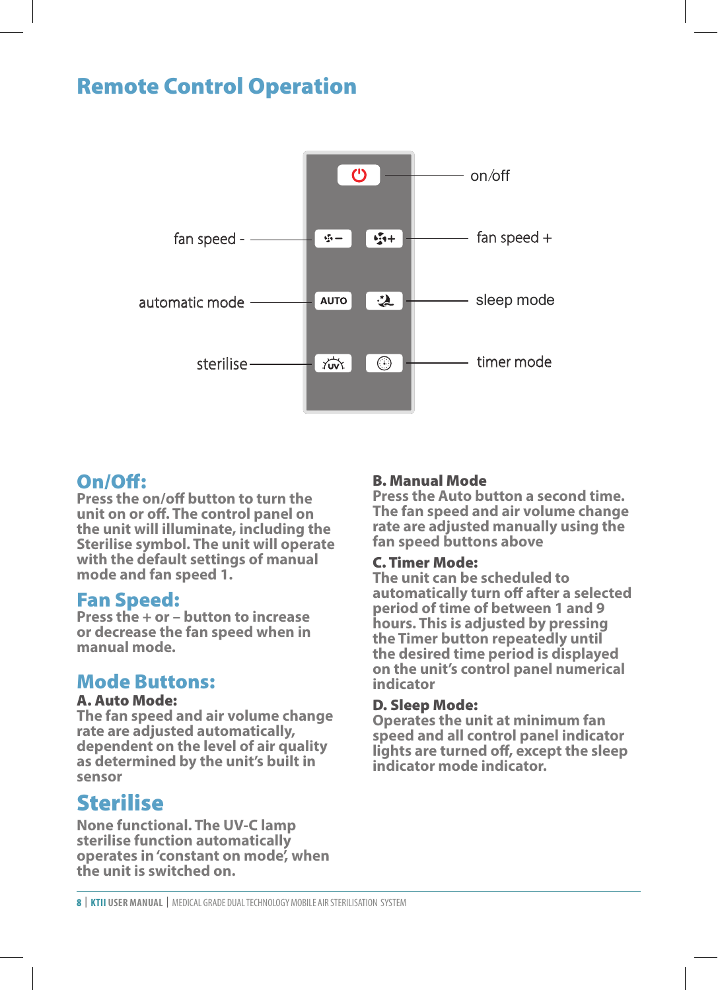## Remote Control Operation



#### On/Off:

**1.On/off: unit on or off. The control panel on**  the unit will illuminate, including the **the mate a**n Sterilise symbol. The unit will operate and spee manual mode, the speed operation under gear 1. **mode and fan speed 1. Press the on/off button to turn the with the default settings of manual** 

#### **2.Speed:** Fan Speed:

**Press the + or – button to increase period of the search or decrease the fan speed when in manual mode.**

#### Mode Buttons:

#### A. Auto Mode:

**The fan speed and air volume change rate are adjusted automatically, dependent on the level of air quality as determined by the unit's built in sensor**

#### Sterilise

**None functional. The UV-C lamp sterilise function automatically operates in 'constant on mode', when the unit is switched on.**

#### B. Manual Mode

**Press the Auto button a second time. The fan speed and air volume change rate are adjusted manually using the fan speed buttons above** 

#### C. Timer Mode:

-05- -02- **on the unit's control panel numerical The unit can be scheduled to automatically turn off after a selected period of time of between 1 and 9 hours. This is adjusted by pressing the Timer button repeatedly until the desired time period is displayed indicator**

#### D. Sleep Mode:

**Operates the unit at minimum fan speed and all control panel indicator lights are turned off, except the sleep indicator mode indicator.**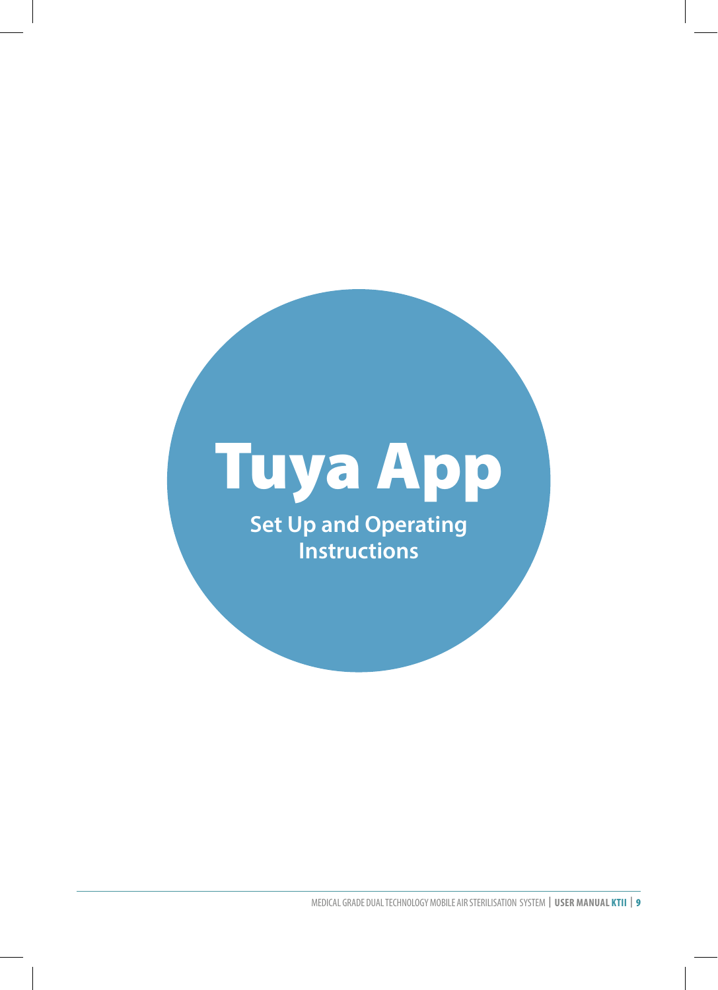# Tuya App

**Set Up and Operating Instructions**

MEDICAL GRADE DUAL TECHNOLOGY MOBILE AIR STERILISATION SYSTEM | **USER MANUAL KTII** | 9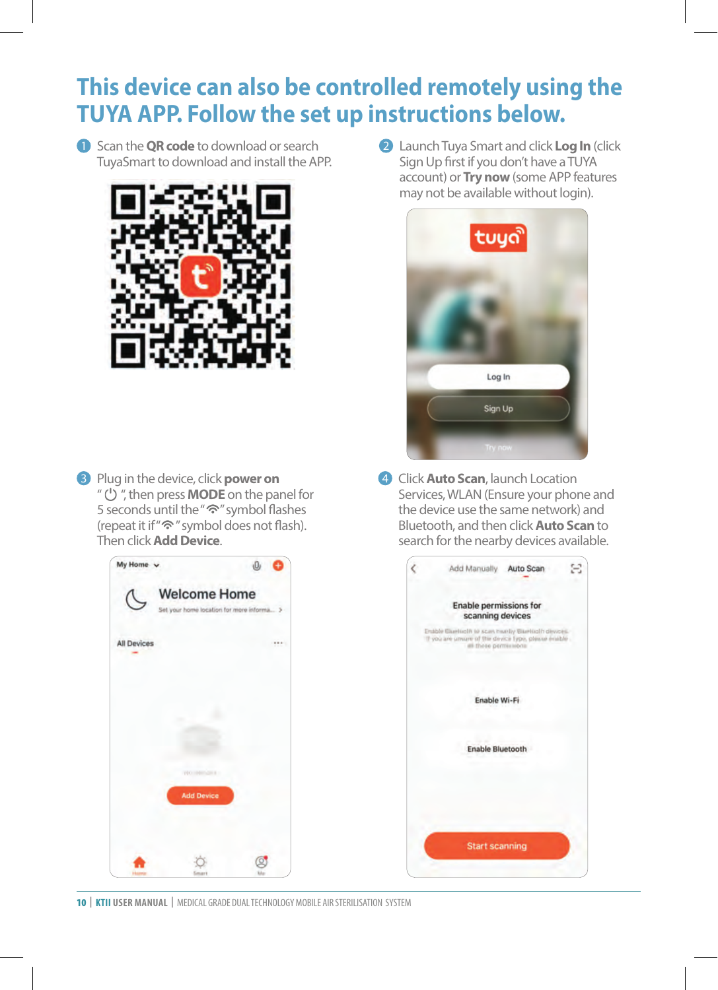# **This device can also be controlled remotely using the TUYA APP. Follow the set up instructions below.**

**1** Scan the **QR code** to download or search TuyaSmart to download and install the APP.



Plug in the device, click **power on** 3 " (<sup>1</sup>) ", then press **MODE** on the panel for 5 seconds until the "<sup>•</sup> symbol flashes (repeat it if " $\hat{\mathcal{F}}$ " symbol does not flash). Then click **Add Device**.



**2** Launch Tuya Smart and click Log In (click Sign Up first if you don't have a TUYA account) or **Try now** (some APP features may not be available without login).



4 Click **Auto Scan**, launch Location Services, WLAN (Ensure your phone and the device use the same network) and Bluetooth, and then click **Auto Scan** to search for the nearby devices available.

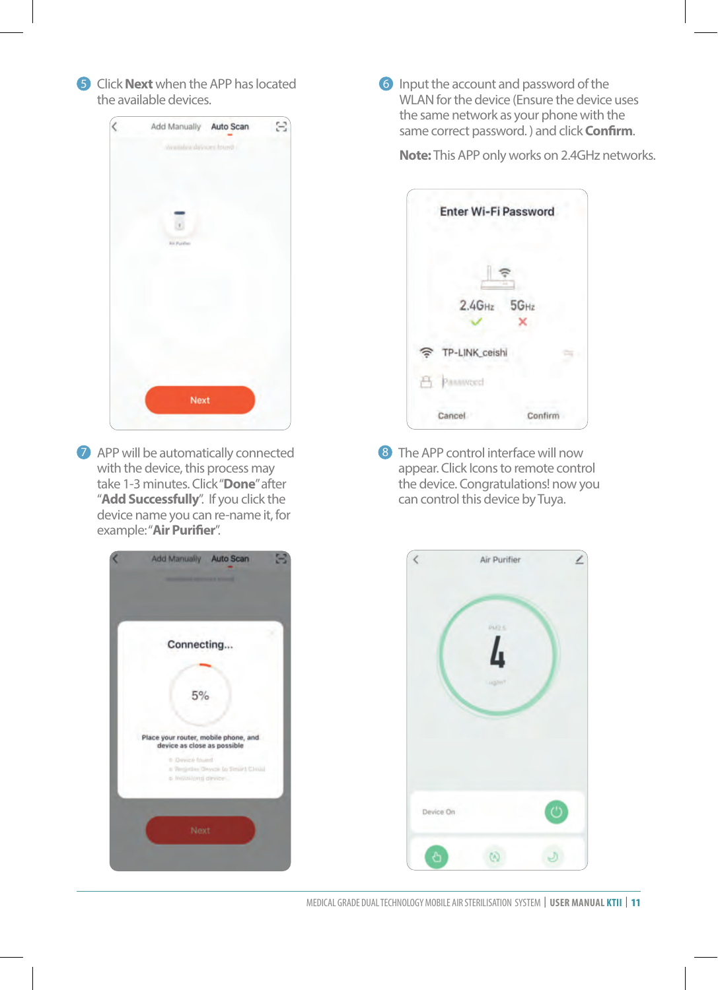**5** Click **Next** when the APP has located the available devices.



**7** APP will be automatically connected with the device, this process may take 1-3 minutes. Click "**Done**" after "**Add Successfully**". If you click the device name you can re-name it, for example: "**Air Purifier**".



**6** Input the account and password of the WLAN for the device (Ensure the device uses the same network as your phone with the same correct password. ) and click **Confirm**.

**Note:** This APP only works on 2.4GHz networks.

| Enter Wi-Fi Password |           |
|----------------------|-----------|
|                      |           |
| $2.4$ GHz            | $5G_{Hz}$ |
| TP-LINK_ceishi       |           |
| 凸                    |           |
| Cancel               | Confirm   |

8 The APP control interface will now appear. Click Icons to remote control the device. Congratulations! now you can control this device by Tuya.



MEDICAL GRADE DUAL TECHNOLOGY MOBILE AIR STERILISATION SYSTEM | **USER MANUAL KTII** | 11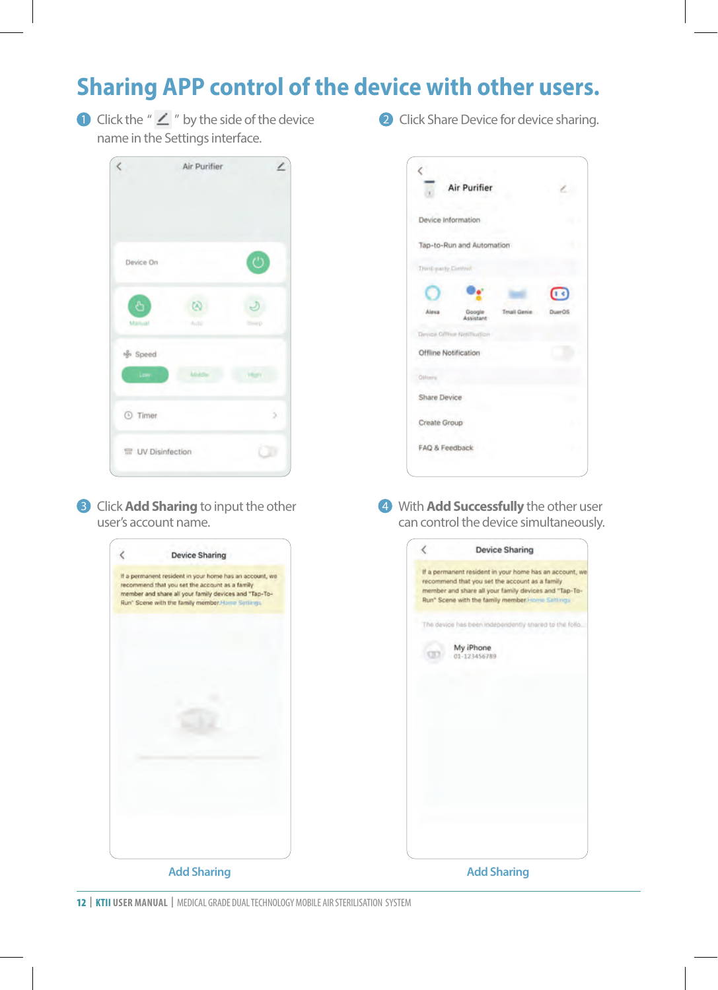# **Sharing APP control of the device with other users.**

**D** Click the " $\angle$ " by the side of the device name in the Settings interface.



**B** Click **Add Sharing** to input the other user's account name.



**2** Click Share Device for device sharing.



**3** Click **Add Sharing** to input the other **1990 Click Add Successfully** the other user can control the device simultaneously.

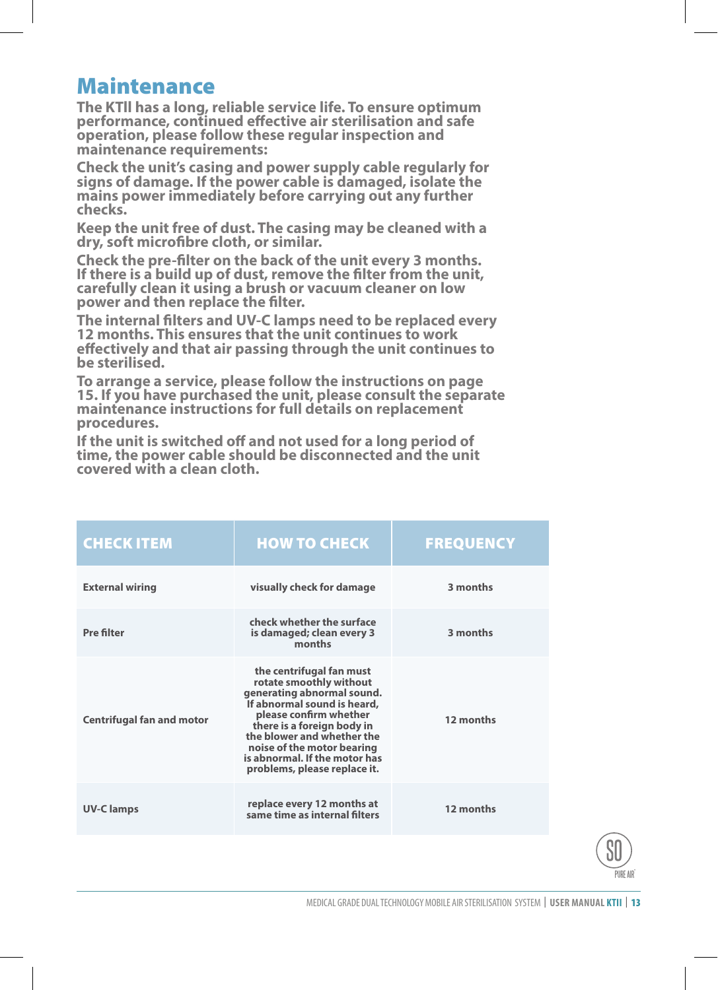#### Maintenance

**The KTll has a long, reliable service life. To ensure optimum performance, continued effective air sterilisation and safe operation, please follow these regular inspection and maintenance requirements:**

**Check the unit's casing and power supply cable regularly for signs of damage. If the power cable is damaged, isolate the mains power immediately before carrying out any further checks.**

**Keep the unit free of dust. The casing may be cleaned with a dry, soft microfibre cloth, or similar.**

**Check the pre-filter on the back of the unit every 3 months. If there is a build up of dust, remove the filter from the unit, carefully clean it using a brush or vacuum cleaner on low power and then replace the filter.**

**The internal filters and UV-C lamps need to be replaced every 12 months. This ensures that the unit continues to work effectively and that air passing through the unit continues to be sterilised.** 

**To arrange a service, please follow the instructions on page 15. If you have purchased the unit, please consult the separate maintenance instructions for full details on replacement procedures.**

**If the unit is switched off and not used for a long period of time, the power cable should be disconnected and the unit covered with a clean cloth.**

| <b>CHECK ITEM</b>                | <b>HOW TO CHECK</b>                                                                                                                                                                                                                                                                                   | <b>FREQUENCY</b> |
|----------------------------------|-------------------------------------------------------------------------------------------------------------------------------------------------------------------------------------------------------------------------------------------------------------------------------------------------------|------------------|
| <b>External wiring</b>           | visually check for damage                                                                                                                                                                                                                                                                             | 3 months         |
| Pre filter                       | check whether the surface<br>is damaged; clean every 3<br>months                                                                                                                                                                                                                                      | 3 months         |
| <b>Centrifugal fan and motor</b> | the centrifugal fan must<br>rotate smoothly without<br>generating abnormal sound.<br>If abnormal sound is heard,<br>please confirm whether<br>there is a foreign body in<br>the blower and whether the<br>noise of the motor bearing<br>is abnormal. If the motor has<br>problems, please replace it. | 12 months        |
| <b>UV-Clamps</b>                 | replace every 12 months at<br>same time as internal filters                                                                                                                                                                                                                                           | 12 months        |

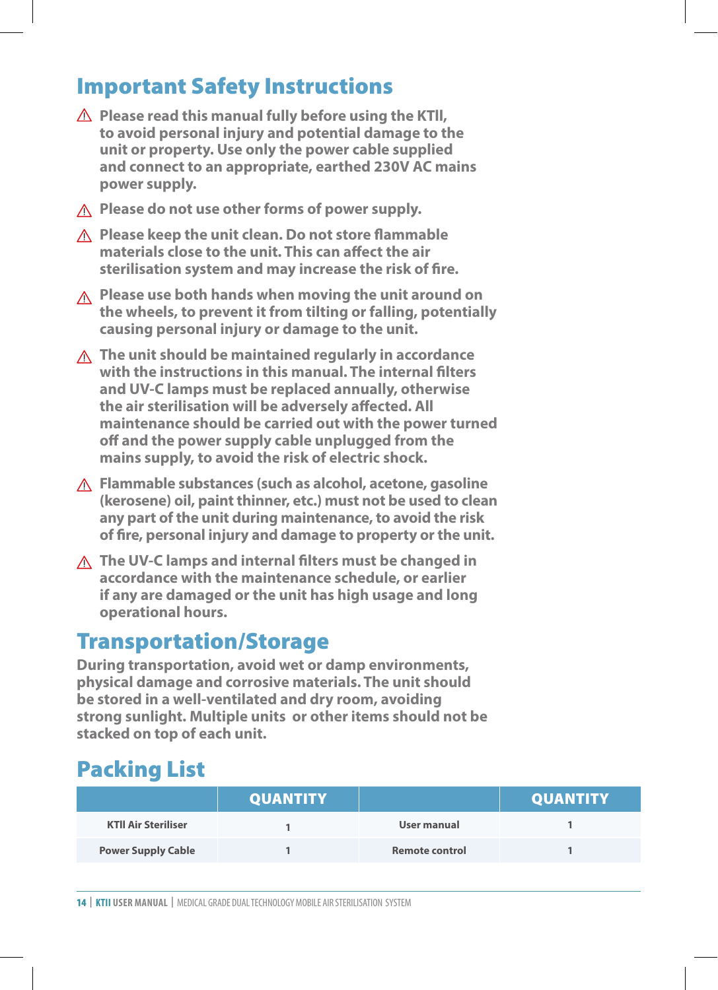## Important Safety Instructions

- **Please read this manual fully before using the KTll, to avoid personal injury and potential damage to the unit or property. Use only the power cable supplied and connect to an appropriate, earthed 230V AC mains power supply.**
- **Please do not use other forms of power supply.**
- **Please keep the unit clean. Do not store flammable materials close to the unit. This can affect the air sterilisation system and may increase the risk of fire.**
- **Please use both hands when moving the unit around on the wheels, to prevent it from tilting or falling, potentially causing personal injury or damage to the unit.**
- **The unit should be maintained regularly in accordance with the instructions in this manual. The internal filters and UV-C lamps must be replaced annually, otherwise the air sterilisation will be adversely affected. All maintenance should be carried out with the power turned off and the power supply cable unplugged from the mains supply, to avoid the risk of electric shock.**
- **Flammable substances (such as alcohol, acetone, gasoline (kerosene) oil, paint thinner, etc.) must not be used to clean any part of the unit during maintenance, to avoid the risk of fire, personal injury and damage to property or the unit.**
- **The UV-C lamps and internal filters must be changed in accordance with the maintenance schedule, or earlier if any are damaged or the unit has high usage and long operational hours.**

## Transportation/Storage

**During transportation, avoid wet or damp environments, physical damage and corrosive materials. The unit should be stored in a well-ventilated and dry room, avoiding strong sunlight. Multiple units or other items should not be stacked on top of each unit.**

# Packing List

|                            | <b>QUANTITY</b> |                       | <b>QUANTITY</b> |
|----------------------------|-----------------|-----------------------|-----------------|
| <b>KTII Air Steriliser</b> |                 | User manual           |                 |
| <b>Power Supply Cable</b>  |                 | <b>Remote control</b> |                 |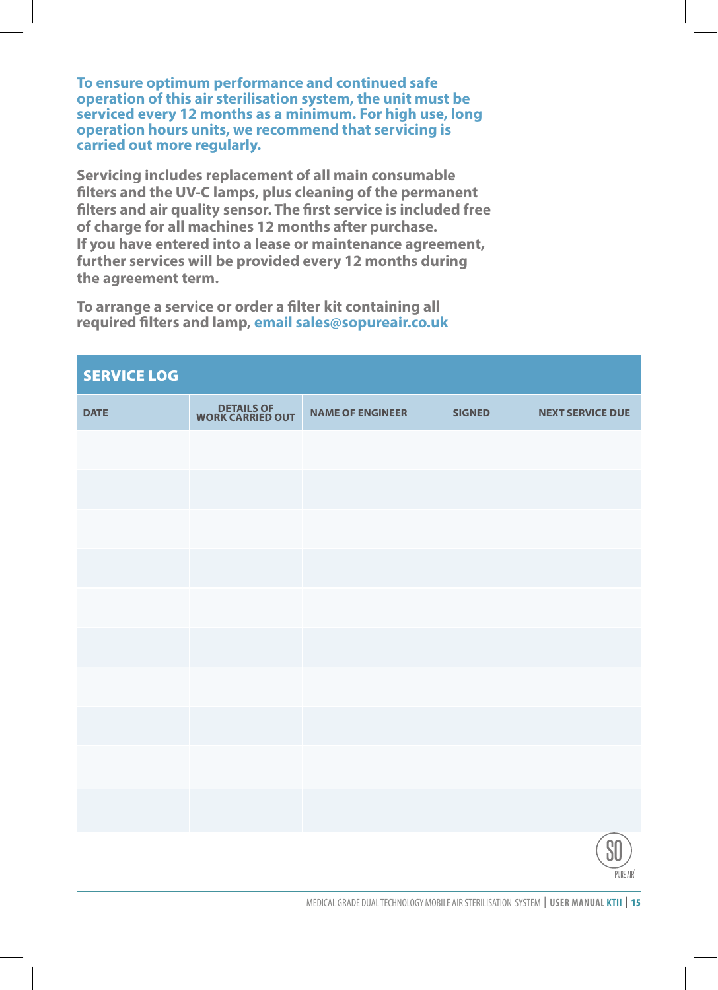**To ensure optimum performance and continued safe operation of this air sterilisation system, the unit must be serviced every 12 months as a minimum. For high use, long operation hours units, we recommend that servicing is carried out more regularly.**

**Servicing includes replacement of all main consumable filters and the UV-C lamps, plus cleaning of the permanent filters and air quality sensor. The first service is included free of charge for all machines 12 months after purchase. If you have entered into a lease or maintenance agreement, further services will be provided every 12 months during the agreement term.**

**To arrange a service or order a filter kit containing all required filters and lamp, email sales@sopureair.co.uk**

| <b>SERVICE LOG</b> |                                |                         |               |                         |
|--------------------|--------------------------------|-------------------------|---------------|-------------------------|
| <b>DATE</b>        | DETAILS OF<br>WORK CARRIED OUT | <b>NAME OF ENGINEER</b> | <b>SIGNED</b> | <b>NEXT SERVICE DUE</b> |
|                    |                                |                         |               |                         |
|                    |                                |                         |               |                         |
|                    |                                |                         |               |                         |
|                    |                                |                         |               |                         |
|                    |                                |                         |               |                         |
|                    |                                |                         |               |                         |
|                    |                                |                         |               |                         |
|                    |                                |                         |               |                         |
|                    |                                |                         |               |                         |
|                    |                                |                         |               |                         |
|                    |                                |                         |               | SO                      |

PIIRE AIR